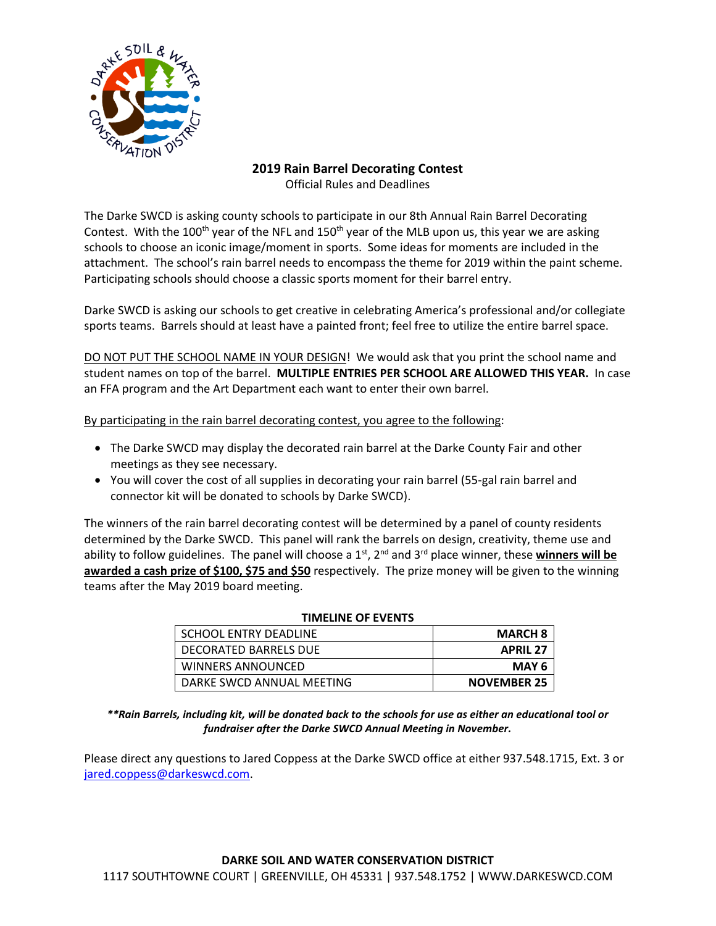

## **2019 Rain Barrel Decorating Contest** Official Rules and Deadlines

The Darke SWCD is asking county schools to participate in our 8th Annual Rain Barrel Decorating Contest. With the 100<sup>th</sup> year of the NFL and 150<sup>th</sup> year of the MLB upon us, this year we are asking schools to choose an iconic image/moment in sports. Some ideas for moments are included in the attachment. The school's rain barrel needs to encompass the theme for 2019 within the paint scheme. Participating schools should choose a classic sports moment for their barrel entry.

Darke SWCD is asking our schools to get creative in celebrating America's professional and/or collegiate sports teams. Barrels should at least have a painted front; feel free to utilize the entire barrel space.

DO NOT PUT THE SCHOOL NAME IN YOUR DESIGN! We would ask that you print the school name and student names on top of the barrel. **MULTIPLE ENTRIES PER SCHOOL ARE ALLOWED THIS YEAR.** In case an FFA program and the Art Department each want to enter their own barrel.

By participating in the rain barrel decorating contest, you agree to the following:

- The Darke SWCD may display the decorated rain barrel at the Darke County Fair and other meetings as they see necessary.
- You will cover the cost of all supplies in decorating your rain barrel (55-gal rain barrel and connector kit will be donated to schools by Darke SWCD).

The winners of the rain barrel decorating contest will be determined by a panel of county residents determined by the Darke SWCD. This panel will rank the barrels on design, creativity, theme use and ability to follow guidelines. The panel will choose a 1<sup>st</sup>, 2<sup>nd</sup> and 3<sup>rd</sup> place winner, these **winners will be awarded a cash prize of \$100, \$75 and \$50** respectively. The prize money will be given to the winning teams after the May 2019 board meeting.

| <b>THVICLINE OF EVENTS</b> |                    |
|----------------------------|--------------------|
| SCHOOL FNTRY DFADLINF      | <b>MARCH 8</b>     |
| DECORATED BARRELS DUE      | <b>APRIL 27</b>    |
| WINNERS ANNOUNCED          | MAY 6              |
| DARKE SWCD ANNUAL MEETING  | <b>NOVEMBER 25</b> |

## **TELINE OF EVENT**

*\*\*Rain Barrels, including kit, will be donated back to the schools for use as either an educational tool or fundraiser after the Darke SWCD Annual Meeting in November.*

Please direct any questions to Jared Coppess at the Darke SWCD office at either 937.548.1715, Ext. 3 or [jared.coppess@darkeswcd.com.](mailto:jared.coppess@darkeswcd.com)